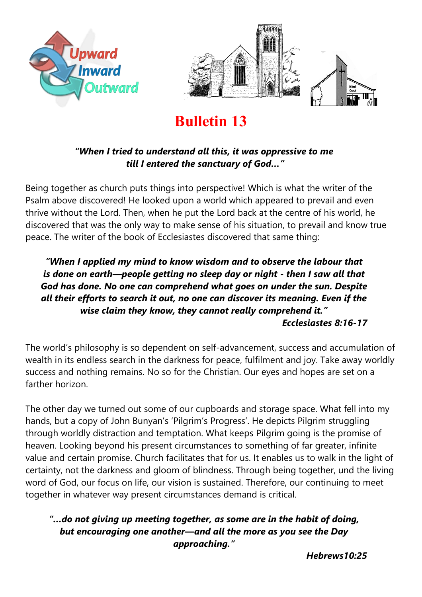



# **Bulletin 13**

#### *"When I tried to understand all this, it was oppressive to me till I entered the sanctuary of God…"*

Being together as church puts things into perspective! Which is what the writer of the Psalm above discovered! He looked upon a world which appeared to prevail and even thrive without the Lord. Then, when he put the Lord back at the centre of his world, he discovered that was the only way to make sense of his situation, to prevail and know true peace. The writer of the book of Ecclesiastes discovered that same thing:

#### *"When I applied my mind to know wisdom and to observe the labour that is done on earth—people getting no sleep day or night - then I saw all that God has done. No one can comprehend what goes on under the sun. Despite all their efforts to search it out, no one can discover its meaning. Even if the wise claim they know, they cannot really comprehend it." Ecclesiastes 8:16-17*

The world's philosophy is so dependent on self-advancement, success and accumulation of wealth in its endless search in the darkness for peace, fulfilment and joy. Take away worldly success and nothing remains. No so for the Christian. Our eyes and hopes are set on a farther horizon.

The other day we turned out some of our cupboards and storage space. What fell into my hands, but a copy of John Bunyan's 'Pilgrim's Progress'. He depicts Pilgrim struggling through worldly distraction and temptation. What keeps Pilgrim going is the promise of heaven. Looking beyond his present circumstances to something of far greater, infinite value and certain promise. Church facilitates that for us. It enables us to walk in the light of certainty, not the darkness and gloom of blindness. Through being together, und the living word of God, our focus on life, our vision is sustained. Therefore, our continuing to meet together in whatever way present circumstances demand is critical.

### *"…do not giving up meeting together, as some are in the habit of doing, but encouraging one another—and all the more as you see the Day approaching."*

*Hebrews10:25*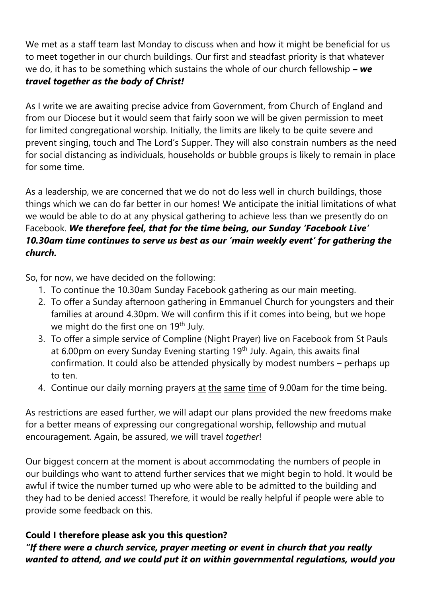We met as a staff team last Monday to discuss when and how it might be beneficial for us to meet together in our church buildings. Our first and steadfast priority is that whatever we do, it has to be something which sustains the whole of our church fellowship *– we travel together as the body of Christ!*

As I write we are awaiting precise advice from Government, from Church of England and from our Diocese but it would seem that fairly soon we will be given permission to meet for limited congregational worship. Initially, the limits are likely to be quite severe and prevent singing, touch and The Lord's Supper. They will also constrain numbers as the need for social distancing as individuals, households or bubble groups is likely to remain in place for some time.

As a leadership, we are concerned that we do not do less well in church buildings, those things which we can do far better in our homes! We anticipate the initial limitations of what we would be able to do at any physical gathering to achieve less than we presently do on Facebook. *We therefore feel, that for the time being, our Sunday 'Facebook Live' 10.30am time continues to serve us best as our 'main weekly event' for gathering the church.*

So, for now, we have decided on the following:

- 1. To continue the 10.30am Sunday Facebook gathering as our main meeting.
- 2. To offer a Sunday afternoon gathering in Emmanuel Church for youngsters and their families at around 4.30pm. We will confirm this if it comes into being, but we hope we might do the first one on 19<sup>th</sup> July.
- 3. To offer a simple service of Compline (Night Prayer) live on Facebook from St Pauls at 6.00pm on every Sunday Evening starting 19<sup>th</sup> July. Again, this awaits final confirmation. It could also be attended physically by modest numbers – perhaps up to ten.
- 4. Continue our daily morning prayers at the same time of 9.00am for the time being.

As restrictions are eased further, we will adapt our plans provided the new freedoms make for a better means of expressing our congregational worship, fellowship and mutual encouragement. Again, be assured, we will travel *together*!

Our biggest concern at the moment is about accommodating the numbers of people in our buildings who want to attend further services that we might begin to hold. It would be awful if twice the number turned up who were able to be admitted to the building and they had to be denied access! Therefore, it would be really helpful if people were able to provide some feedback on this.

## **Could I therefore please ask you this question?**

*"If there were a church service, prayer meeting or event in church that you really wanted to attend, and we could put it on within governmental regulations, would you*